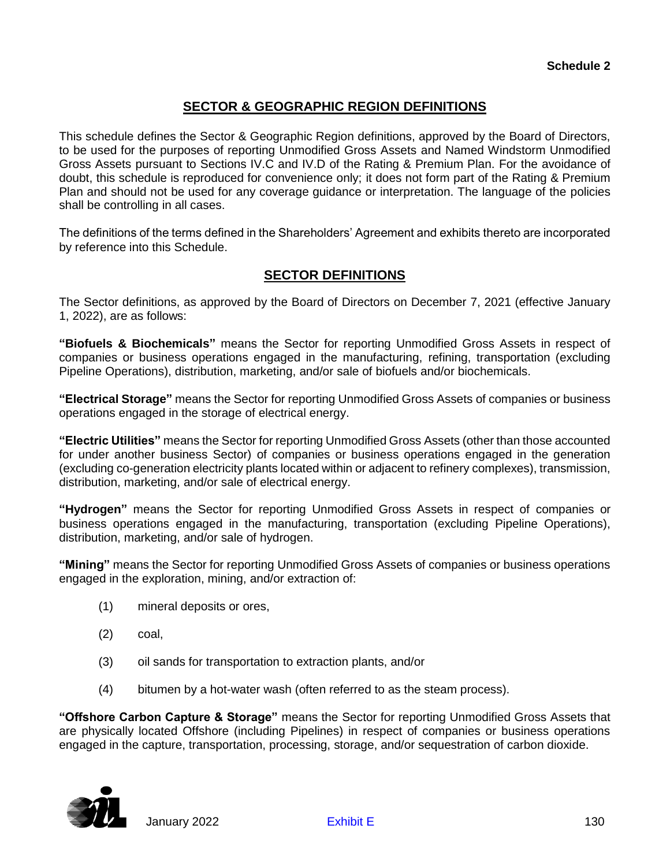## **SECTOR & GEOGRAPHIC REGION DEFINITIONS**

This schedule defines the Sector & Geographic Region definitions, approved by the Board of Directors, to be used for the purposes of reporting Unmodified Gross Assets and Named Windstorm Unmodified Gross Assets pursuant to Sections IV.C and IV.D of the Rating & Premium Plan. For the avoidance of doubt, this schedule is reproduced for convenience only; it does not form part of the Rating & Premium Plan and should not be used for any coverage guidance or interpretation. The language of the policies shall be controlling in all cases.

The definitions of the terms defined in the Shareholders' Agreement and exhibits thereto are incorporated by reference into this Schedule.

## **SECTOR DEFINITIONS**

The Sector definitions, as approved by the Board of Directors on December 7, 2021 (effective January 1, 2022), are as follows:

**"Biofuels & Biochemicals"** means the Sector for reporting Unmodified Gross Assets in respect of companies or business operations engaged in the manufacturing, refining, transportation (excluding Pipeline Operations), distribution, marketing, and/or sale of biofuels and/or biochemicals.

**"Electrical Storage"** means the Sector for reporting Unmodified Gross Assets of companies or business operations engaged in the storage of electrical energy.

**"Electric Utilities"** means the Sector for reporting Unmodified Gross Assets (other than those accounted for under another business Sector) of companies or business operations engaged in the generation (excluding co-generation electricity plants located within or adjacent to refinery complexes), transmission, distribution, marketing, and/or sale of electrical energy.

**"Hydrogen"** means the Sector for reporting Unmodified Gross Assets in respect of companies or business operations engaged in the manufacturing, transportation (excluding Pipeline Operations), distribution, marketing, and/or sale of hydrogen.

**"Mining"** means the Sector for reporting Unmodified Gross Assets of companies or business operations engaged in the exploration, mining, and/or extraction of:

- (1) mineral deposits or ores,
- (2) coal,
- (3) oil sands for transportation to extraction plants, and/or
- (4) bitumen by a hot-water wash (often referred to as the steam process).

**"Offshore Carbon Capture & Storage"** means the Sector for reporting Unmodified Gross Assets that are physically located Offshore (including Pipelines) in respect of companies or business operations engaged in the capture, transportation, processing, storage, and/or sequestration of carbon dioxide.

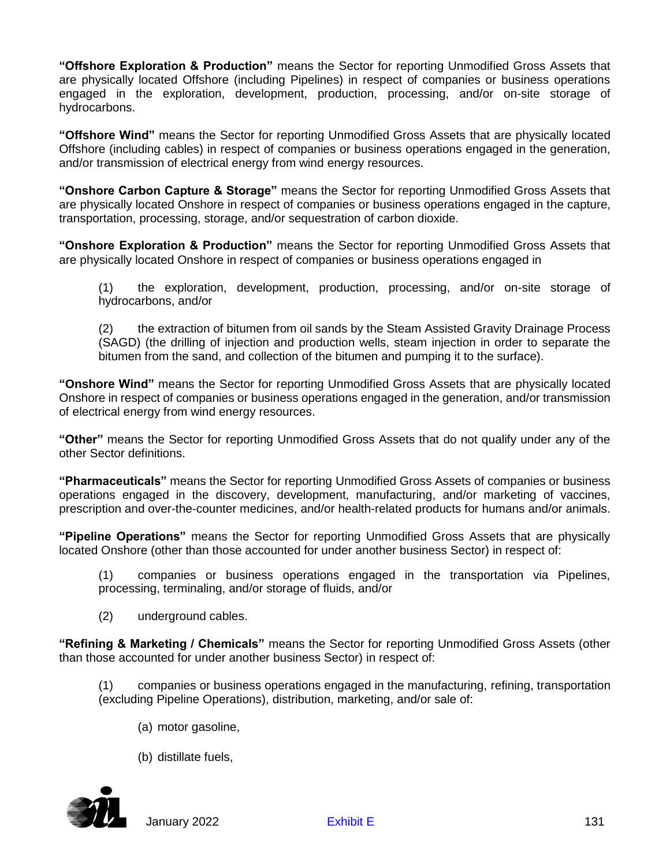**"Offshore Exploration & Production"** means the Sector for reporting Unmodified Gross Assets that are physically located Offshore (including Pipelines) in respect of companies or business operations engaged in the exploration, development, production, processing, and/or on-site storage of hydrocarbons.

**"Offshore Wind"** means the Sector for reporting Unmodified Gross Assets that are physically located Offshore (including cables) in respect of companies or business operations engaged in the generation, and/or transmission of electrical energy from wind energy resources.

**"Onshore Carbon Capture & Storage"** means the Sector for reporting Unmodified Gross Assets that are physically located Onshore in respect of companies or business operations engaged in the capture, transportation, processing, storage, and/or sequestration of carbon dioxide.

**"Onshore Exploration & Production"** means the Sector for reporting Unmodified Gross Assets that are physically located Onshore in respect of companies or business operations engaged in

(1) the exploration, development, production, processing, and/or on-site storage of hydrocarbons, and/or

(2) the extraction of bitumen from oil sands by the Steam Assisted Gravity Drainage Process (SAGD) (the drilling of injection and production wells, steam injection in order to separate the bitumen from the sand, and collection of the bitumen and pumping it to the surface).

**"Onshore Wind"** means the Sector for reporting Unmodified Gross Assets that are physically located Onshore in respect of companies or business operations engaged in the generation, and/or transmission of electrical energy from wind energy resources.

**"Other"** means the Sector for reporting Unmodified Gross Assets that do not qualify under any of the other Sector definitions.

**"Pharmaceuticals"** means the Sector for reporting Unmodified Gross Assets of companies or business operations engaged in the discovery, development, manufacturing, and/or marketing of vaccines, prescription and over-the-counter medicines, and/or health-related products for humans and/or animals.

**"Pipeline Operations"** means the Sector for reporting Unmodified Gross Assets that are physically located Onshore (other than those accounted for under another business Sector) in respect of:

(1) companies or business operations engaged in the transportation via Pipelines, processing, terminaling, and/or storage of fluids, and/or

(2) underground cables.

**"Refining & Marketing / Chemicals"** means the Sector for reporting Unmodified Gross Assets (other than those accounted for under another business Sector) in respect of:

(1) companies or business operations engaged in the manufacturing, refining, transportation (excluding Pipeline Operations), distribution, marketing, and/or sale of:

- (a) motor gasoline,
- (b) distillate fuels,



January 2022 **[Exhibit E](#page--1-0)** 131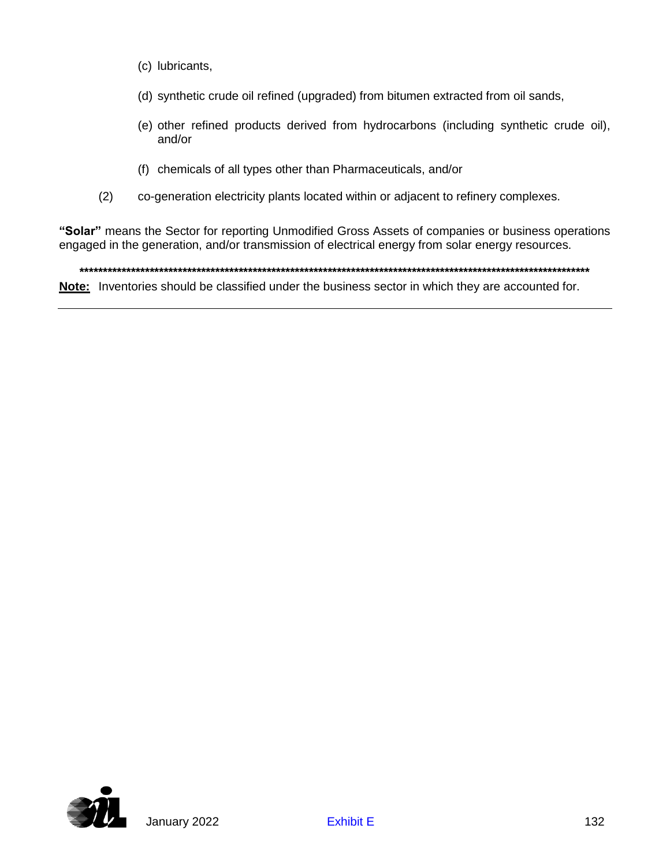- (c) lubricants,
- (d) synthetic crude oil refined (upgraded) from bitumen extracted from oil sands,
- (e) other refined products derived from hydrocarbons (including synthetic crude oil), and/or
- (f) chemicals of all types other than Pharmaceuticals, and/or
- (2) co-generation electricity plants located within or adjacent to refinery complexes.

**"Solar"** means the Sector for reporting Unmodified Gross Assets of companies or business operations engaged in the generation, and/or transmission of electrical energy from solar energy resources.

**\*\*\*\*\*\*\*\*\*\*\*\*\*\*\*\*\*\*\*\*\*\*\*\*\*\*\*\*\*\*\*\*\*\*\*\*\*\*\*\*\*\*\*\*\*\*\*\*\*\*\*\*\*\*\*\*\*\*\*\*\*\*\*\*\*\*\*\*\*\*\*\*\*\*\*\*\*\*\*\*\*\*\*\*\*\*\*\*\*\*\*\*\*\*\*\*\*\*\*\*\*\*\*\*\*\*\*\*\* Note:** Inventories should be classified under the business sector in which they are accounted for.

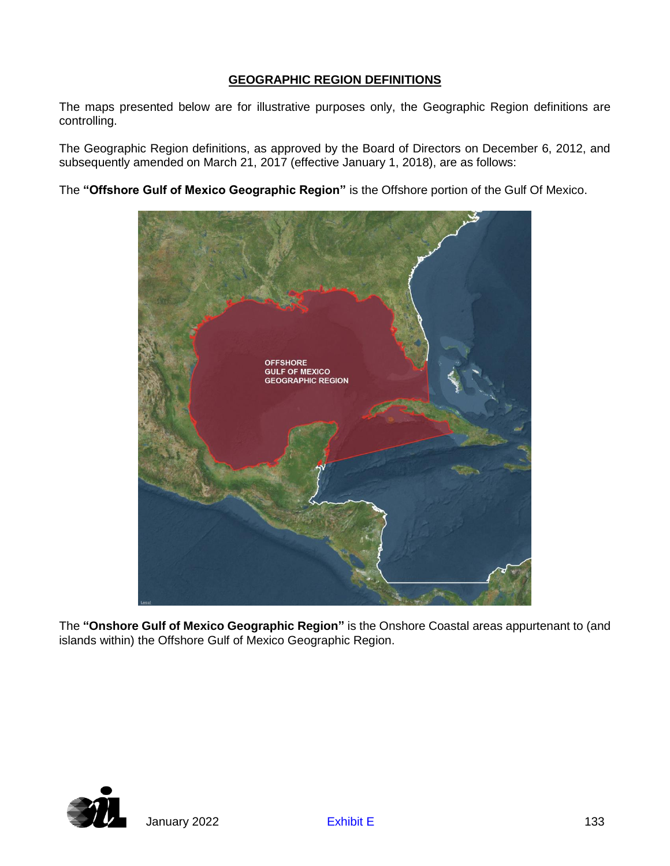## **GEOGRAPHIC REGION DEFINITIONS**

The maps presented below are for illustrative purposes only, the Geographic Region definitions are controlling.

The Geographic Region definitions, as approved by the Board of Directors on December 6, 2012, and subsequently amended on March 21, 2017 (effective January 1, 2018), are as follows:

The **"Offshore Gulf of Mexico Geographic Region"** is the Offshore portion of the Gulf Of Mexico.



The **"Onshore Gulf of Mexico Geographic Region"** is the Onshore Coastal areas appurtenant to (and islands within) the Offshore Gulf of Mexico Geographic Region.

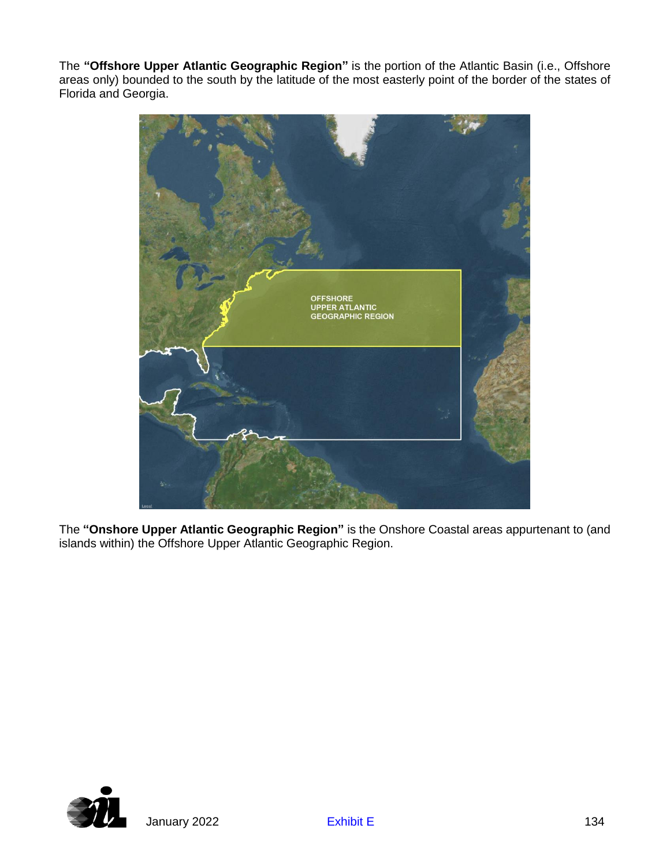The **"Offshore Upper Atlantic Geographic Region"** is the portion of the Atlantic Basin (i.e., Offshore areas only) bounded to the south by the latitude of the most easterly point of the border of the states of Florida and Georgia.



The **"Onshore Upper Atlantic Geographic Region"** is the Onshore Coastal areas appurtenant to (and islands within) the Offshore Upper Atlantic Geographic Region.

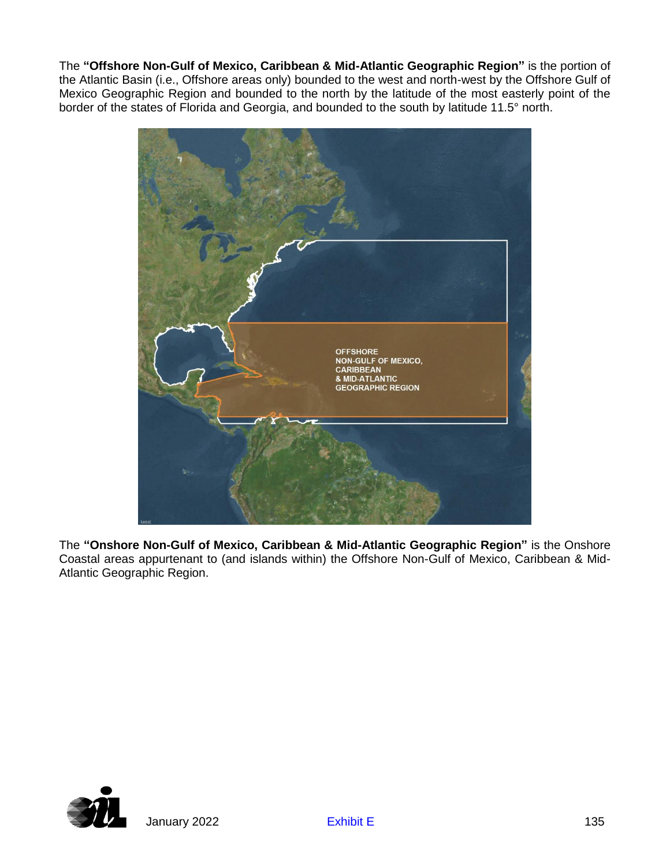The **"Offshore Non-Gulf of Mexico, Caribbean & Mid-Atlantic Geographic Region"** is the portion of the Atlantic Basin (i.e., Offshore areas only) bounded to the west and north-west by the Offshore Gulf of Mexico Geographic Region and bounded to the north by the latitude of the most easterly point of the border of the states of Florida and Georgia, and bounded to the south by latitude 11.5° north.



The **"Onshore Non-Gulf of Mexico, Caribbean & Mid-Atlantic Geographic Region"** is the Onshore Coastal areas appurtenant to (and islands within) the Offshore Non-Gulf of Mexico, Caribbean & Mid-Atlantic Geographic Region.